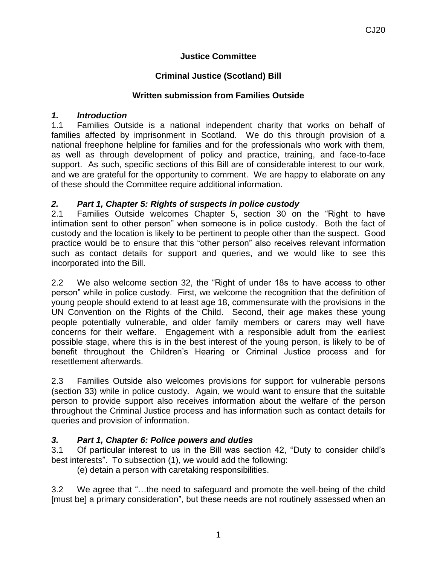### **Justice Committee**

# **Criminal Justice (Scotland) Bill**

#### **Written submission from Families Outside**

#### *1. Introduction*

1.1 Families Outside is a national independent charity that works on behalf of families affected by imprisonment in Scotland. We do this through provision of a national freephone helpline for families and for the professionals who work with them, as well as through development of policy and practice, training, and face-to-face support. As such, specific sections of this Bill are of considerable interest to our work, and we are grateful for the opportunity to comment. We are happy to elaborate on any of these should the Committee require additional information.

### *2. Part 1, Chapter 5: Rights of suspects in police custody*

2.1 Families Outside welcomes Chapter 5, section 30 on the "Right to have intimation sent to other person" when someone is in police custody. Both the fact of custody and the location is likely to be pertinent to people other than the suspect. Good practice would be to ensure that this "other person" also receives relevant information such as contact details for support and queries, and we would like to see this incorporated into the Bill.

2.2 We also welcome section 32, the "Right of under 18s to have access to other person" while in police custody. First, we welcome the recognition that the definition of young people should extend to at least age 18, commensurate with the provisions in the UN Convention on the Rights of the Child. Second, their age makes these young people potentially vulnerable, and older family members or carers may well have concerns for their welfare. Engagement with a responsible adult from the earliest possible stage, where this is in the best interest of the young person, is likely to be of benefit throughout the Children's Hearing or Criminal Justice process and for resettlement afterwards.

2.3 Families Outside also welcomes provisions for support for vulnerable persons (section 33) while in police custody. Again, we would want to ensure that the suitable person to provide support also receives information about the welfare of the person throughout the Criminal Justice process and has information such as contact details for queries and provision of information.

# *3. Part 1, Chapter 6: Police powers and duties*

3.1 Of particular interest to us in the Bill was section 42, "Duty to consider child's best interests". To subsection (1), we would add the following:

(e) detain a person with caretaking responsibilities.

3.2 We agree that "…the need to safeguard and promote the well-being of the child [must be] a primary consideration", but these needs are not routinely assessed when an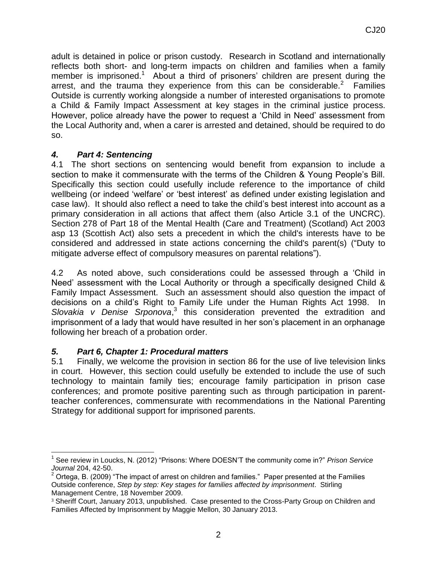adult is detained in police or prison custody. Research in Scotland and internationally reflects both short- and long-term impacts on children and families when a family member is imprisoned.<sup>1</sup> About a third of prisoners' children are present during the arrest, and the trauma they experience from this can be considerable.<sup>2</sup> Families Outside is currently working alongside a number of interested organisations to promote a Child & Family Impact Assessment at key stages in the criminal justice process. However, police already have the power to request a 'Child in Need' assessment from the Local Authority and, when a carer is arrested and detained, should be required to do so.

### *4. Part 4: Sentencing*

4.1 The short sections on sentencing would benefit from expansion to include a section to make it commensurate with the terms of the Children & Young People's Bill. Specifically this section could usefully include reference to the importance of child wellbeing (or indeed 'welfare' or 'best interest' as defined under existing legislation and case law). It should also reflect a need to take the child's best interest into account as a primary consideration in all actions that affect them (also Article 3.1 of the UNCRC). Section 278 of Part 18 of the Mental Health (Care and Treatment) (Scotland) Act 2003 asp 13 (Scottish Act) also sets a precedent in which the child's interests have to be considered and addressed in state actions concerning the child's parent(s) ("Duty to mitigate adverse effect of compulsory measures on parental relations").

4.2 As noted above, such considerations could be assessed through a 'Child in Need' assessment with the Local Authority or through a specifically designed Child & Family Impact Assessment. Such an assessment should also question the impact of decisions on a child's Right to Family Life under the Human Rights Act 1998. In Slovakia v Denise Srponova,<sup>3</sup> this consideration prevented the extradition and imprisonment of a lady that would have resulted in her son's placement in an orphanage following her breach of a probation order.

# *5. Part 6, Chapter 1: Procedural matters*

5.1 Finally, we welcome the provision in section 86 for the use of live television links in court. However, this section could usefully be extended to include the use of such technology to maintain family ties; encourage family participation in prison case conferences; and promote positive parenting such as through participation in parentteacher conferences, commensurate with recommendations in the National Parenting Strategy for additional support for imprisoned parents.

l 1 See review in Loucks, N. (2012) "Prisons: Where DOESN'T the community come in?" *Prison Service Journal* 204, 42-50.

 $2$  Ortega, B. (2009) "The impact of arrest on children and families." Paper presented at the Families Outside conference, *Step by step: Key stages for families affected by imprisonment*. Stirling Management Centre, 18 November 2009.

<sup>&</sup>lt;sup>3</sup> Sheriff Court, January 2013, unpublished. Case presented to the Cross-Party Group on Children and Families Affected by Imprisonment by Maggie Mellon, 30 January 2013.